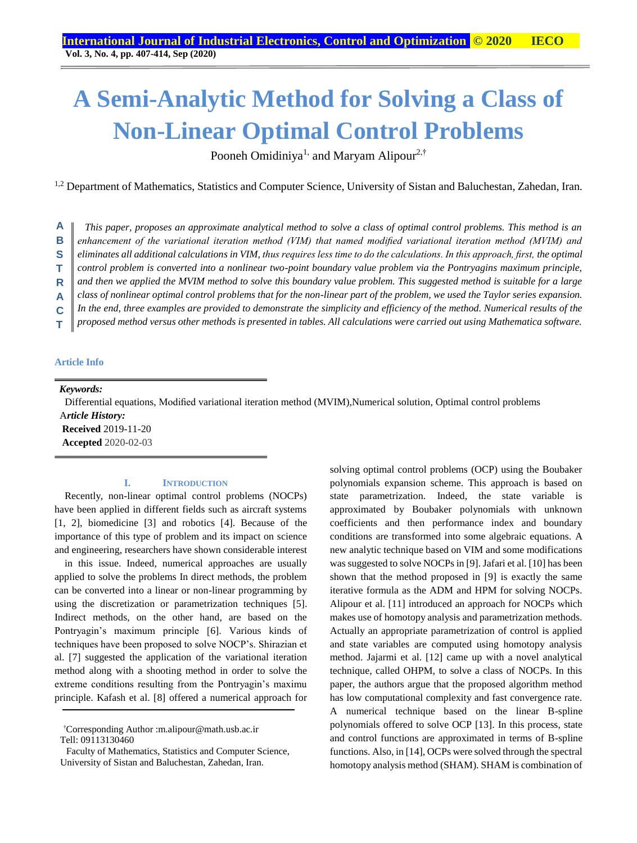# **A Semi-Analytic Method for Solving a Class of Non-Linear Optimal Control Problems**

Pooneh Omidiniya<sup>1,</sup> and Maryam Alipour<sup>2,†</sup>

<sup>1,2</sup> Department of Mathematics, Statistics and Computer Science, University of Sistan and Baluchestan, Zahedan, Iran.

*This paper, proposes an approximate analytical method to solve a class of optimal control problems. This method is an enhancement of the variational iteration method (VIM) that named modified variational iteration method (MVIM) and eliminates all additional calculations in VIM, thus requires less time to do the calculations. In this approach, first, the optimal control problem is converted into a nonlinear two-point boundary value problem via the Pontryagins maximum principle, and then we applied the MVIM method to solve this boundary value problem. This suggested method is suitable for a large class of nonlinear optimal control problems that for the non-linear part of the problem, we used the Taylor series expansion. In the end, three examples are provided to demonstrate the simplicity and efficiency of the method. Numerical results of the proposed method versus other methods is presented in tables. All calculations were carried out using Mathematica software.*  **A B S T R A C T**

#### **Article Info**

*Keywords:* 

 Differential equations, Modified variational iteration method (MVIM),Numerical solution, Optimal control problems A*rticle History:*  **Received** 2019-11-20

**Accepted** 2020-02-03

## **I. INTRODUCTION**

Recently, non-linear optimal control problems (NOCPs) have been applied in different fields such as aircraft systems [1, 2], biomedicine [3] and robotics [4]. Because of the importance of this type of problem and its impact on science and engineering, researchers have shown considerable interest

in this issue. Indeed, numerical approaches are usually applied to solve the problems In direct methods, the problem can be converted into a linear or non-linear programming by using the discretization or parametrization techniques [5]. Indirect methods, on the other hand, are based on the Pontryagin's maximum principle [6]. Various kinds of techniques have been proposed to solve NOCP's. Shirazian et al. [7] suggested the application of the variational iteration method along with a shooting method in order to solve the extreme conditions resulting from the Pontryagin's maximu principle. Kafash et al. [8] offered a numerical approach for

†Corresponding Author :m.alipour@math.usb.ac.ir Tell: 09113130460

Faculty of Mathematics, Statistics and Computer Science, University of Sistan and Baluchestan, Zahedan, Iran.

solving optimal control problems (OCP) using the Boubaker polynomials expansion scheme. This approach is based on state parametrization. Indeed, the state variable is approximated by Boubaker polynomials with unknown coefficients and then performance index and boundary conditions are transformed into some algebraic equations. A new analytic technique based on VIM and some modifications was suggested to solve NOCPs in [9]. Jafari et al. [10] has been shown that the method proposed in [9] is exactly the same iterative formula as the ADM and HPM for solving NOCPs. Alipour et al. [11] introduced an approach for NOCPs which makes use of homotopy analysis and parametrization methods. Actually an appropriate parametrization of control is applied and state variables are computed using homotopy analysis method. Jajarmi et al. [12] came up with a novel analytical technique, called OHPM, to solve a class of NOCPs. In this paper, the authors argue that the proposed algorithm method has low computational complexity and fast convergence rate. A numerical technique based on the linear B-spline polynomials offered to solve OCP [13]. In this process, state and control functions are approximated in terms of B-spline functions. Also, in [14], OCPs were solved through the spectral homotopy analysis method (SHAM). SHAM is combination of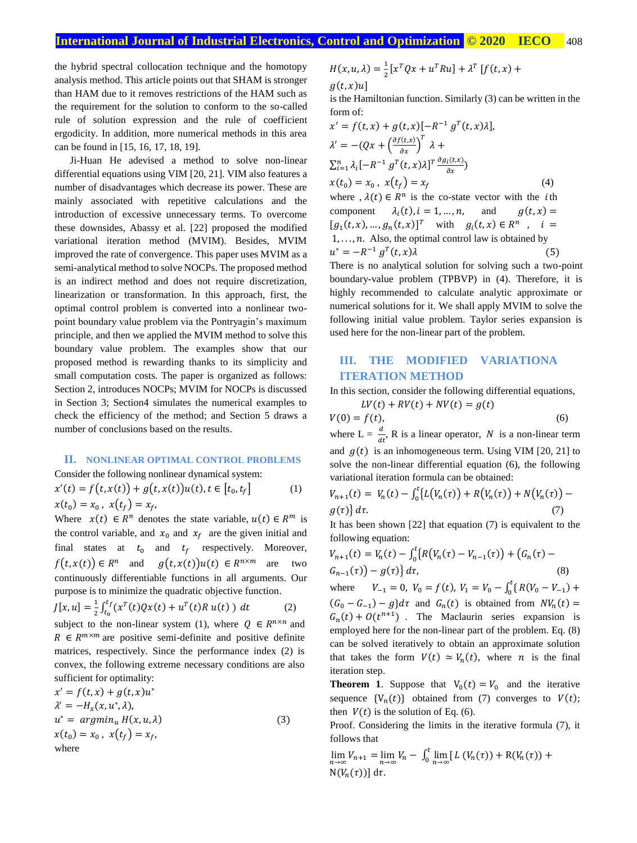the hybrid spectral collocation technique and the homotopy analysis method. This article points out that SHAM is stronger than HAM due to it removes restrictions of the HAM such as the requirement for the solution to conform to the so-called rule of solution expression and the rule of coefficient ergodicity. In addition, more numerical methods in this area can be found in [15, 16, 17, 18, 19].

Ji-Huan He adevised a method to solve non-linear differential equations using VIM [20, 21]. VIM also features a number of disadvantages which decrease its power. These are mainly associated with repetitive calculations and the introduction of excessive unnecessary terms. To overcome these downsides, Abassy et al. [22] proposed the modified variational iteration method (MVIM). Besides, MVIM improved the rate of convergence. This paper uses MVIM as a semi-analytical method to solve NOCPs. The proposed method is an indirect method and does not require discretization, linearization or transformation. In this approach, first, the optimal control problem is converted into a nonlinear twopoint boundary value problem via the Pontryagin's maximum principle, and then we applied the MVIM method to solve this boundary value problem. The examples show that our proposed method is rewarding thanks to its simplicity and small computation costs. The paper is organized as follows: Section 2, introduces NOCPs; MVIM for NOCPs is discussed in Section 3; Section4 simulates the numerical examples to check the efficiency of the method; and Section 5 draws a number of conclusions based on the results.

# **II. NONLINEAR OPTIMAL CONTROL PROBLEMS**

Consider the following nonlinear dynamical system:  $x'(t) = f(t, x(t)) + g(t, x(t))u(t), t \in [t_0, t_f]$  (1)

$$
x(t_0) = x_0, x(t_f) = x_f,
$$

Where  $x(t) \in R^n$  denotes the state variable,  $u(t) \in R^m$  is the control variable, and  $x_0$  and  $x_f$  are the given initial and final states at  $t_0$  and  $t_f$  respectively. Moreover,  $f(t, x(t)) \in R^n$  and  $g(t, x(t))u(t) \in R^{n \times m}$  are two continuously differentiable functions in all arguments. Our purpose is to minimize the quadratic objective function.

$$
J[x, u] = \frac{1}{2} \int_{t_0}^{t_f} (x^T(t)Qx(t) + u^T(t)R u(t)) dt
$$
 (2)

subject to the non-linear system (1), where  $Q \in R^{n \times n}$  and  $R \in \mathbb{R}^{m \times m}$  are positive semi-definite and positive definite matrices, respectively. Since the performance index (2) is convex, the following extreme necessary conditions are also sufficient for optimality:

$$
x' = f(t, x) + g(t, x)u^*
$$
  
\n
$$
\lambda' = -H_x(x, u^*, \lambda),
$$
  
\n
$$
u^* = argmin_u H(x, u, \lambda)
$$
  
\n
$$
x(t_0) = x_0, x(t_f) = x_f,
$$
  
\nwhere

$$
H(x, u, \lambda) = \frac{1}{2} [x^T Q x + u^T R u] + \lambda^T [f(t, x) +
$$

 $g(t, x)u$ ]

is the Hamiltonian function. Similarly (3) can be written in the form of:

$$
x' = f(t, x) + g(t, x)[-R^{-1}g^{T}(t, x)\lambda],
$$
  
\n
$$
\lambda' = -(Qx + \left(\frac{\partial f(t, x)}{\partial x}\right)^{T} \lambda +
$$
  
\n
$$
\sum_{i=1}^{n} \lambda_{i}[-R^{-1}g^{T}(t, x)\lambda]^{T} \frac{\partial g_{i}(t, x)}{\partial x}]
$$
  
\n
$$
x(t_{0}) = x_{0}, x(t_{f}) = x_{f}
$$
  
\nwhere,  $\lambda(t) \in R^{n}$  is the co-state vector with the *i*th component  $\lambda_{i}(t), i = 1, ..., n$ , and  $g(t, x) = [g_{1}(t, x), ..., g_{n}(t, x)]^{T}$  with  $g_{i}(t, x) \in R^{n}$ ,  $i = 1, ..., n$ . Also, the optimal control law is obtained by  
\n $u^{*} = -R^{-1}g^{T}(t, x)\lambda$  (5)

There is no analytical solution for solving such a two-point boundary-value problem (TPBVP) in (4). Therefore, it is highly recommended to calculate analytic approximate or numerical solutions for it. We shall apply MVIM to solve the following initial value problem. Taylor series expansion is used here for the non-linear part of the problem*.*

# **III. THE MODIFIED VARIATIONA ITERATION METHOD**

In this section, consider the following differential equations,

$$
LV(t) + RV(t) + NV(t) = g(t)
$$
  
(6) (6)

where  $L = \frac{d}{dt}$ , R is a linear operator, N is a non-linear term and  $g(t)$  is an inhomogeneous term. Using VIM [20, 21] to solve the non-linear differential equation (6), the following variational iteration formula can be obtained:

$$
V_{n+1}(t) = V_n(t) - \int_0^t \{L(V_n(\tau)) + R(V_n(\tau)) + N(V_n(\tau)) - g(\tau)\} d\tau.
$$
\n(7)

It has been shown [22] that equation (7) is equivalent to the following equation:

$$
V_{n+1}(t) = V_n(t) - \int_0^t \{ R(V_n(\tau) - V_{n-1}(\tau)) + (G_n(\tau) - G_{n-1}(\tau)) - g(\tau) \} d\tau,
$$
\n(8)

where  $V_{-1} = 0$ ,  $V_0 = f(t)$ ,  $V_1 = V_0 - \int_0^t \{$  $\int_0^{\infty} \{ R(V_0 - V_{-1}) +$  $(G_0 - G_{-1}) - g$ }d $\tau$  and  $G_n(t)$  is obtained from  $N V_n(t) =$  $G_n(t) + O(t^{n+1})$ . The Maclaurin series expansion is employed here for the non-linear part of the problem. Eq. (8) can be solved iteratively to obtain an approximate solution that takes the form  $V(t) \approx V_n(t)$ , where *n* is the final iteration step.

**Theorem 1.** Suppose that  $V_0(t) = V_0$  and the iterative sequence  $\{V_n(t)\}\$  obtained from (7) converges to  $V(t)$ ; then  $V(t)$  is the solution of Eq. (6).

Proof. Considering the limits in the iterative formula (7), it follows that

$$
\lim_{n\to\infty}V_{n+1} = \lim_{n\to\infty}V_n - \int_0^t \lim_{n\to\infty} [L(V_n(\tau)) + R(V_n(\tau)) +
$$
  
 
$$
N(V_n(\tau))] d\tau.
$$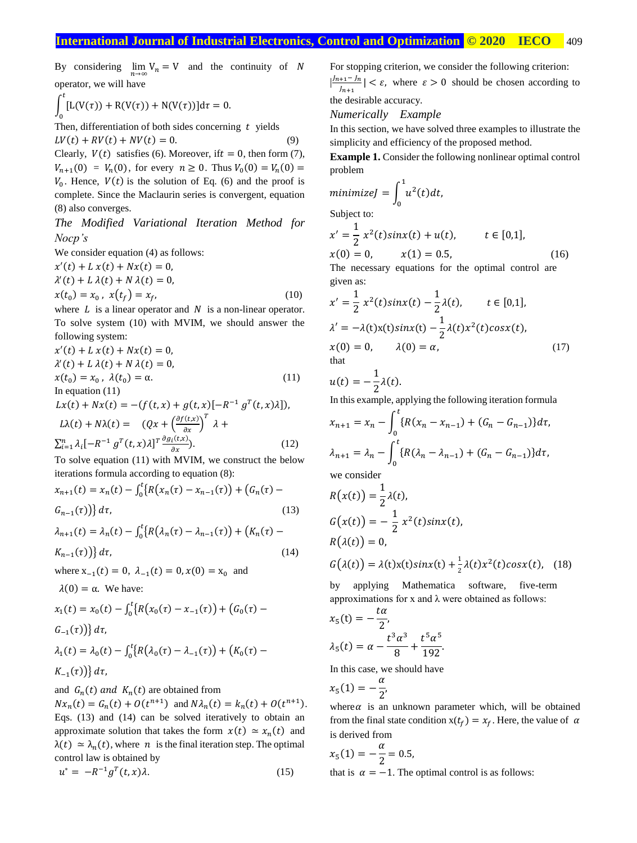By considering  $\lim_{n \to \infty} V_n = V$  and the continuity of N operator, we will have

$$
\int_0^t [L(V(\tau)) + R(V(\tau)) + N(V(\tau))]d\tau = 0.
$$

Then, differentiation of both sides concerning  $t$  yields

 $LV(t) + RV(t) + NV(t) = 0.$  (9) Clearly,  $V(t)$  satisfies (6). Moreover, if  $t = 0$ , then form (7),  $V_{n+1}(0) = V_n(0)$ , for every  $n \ge 0$ . Thus  $V_0(0) = V_n(0) =$  $V_0$ . Hence,  $V(t)$  is the solution of Eq. (6) and the proof is complete. Since the Maclaurin series is convergent, equation (8) also converges.

*The Modified Variational Iteration Method for Nocp's*

We consider equation (4) as follows:

$$
x'(t) + L x(t) + Nx(t) = 0,
$$
  
\n
$$
\lambda'(t) + L \lambda(t) + N \lambda(t) = 0,
$$
  
\n
$$
x(t_0) = x_0, x(t_f) = x_f,
$$
\n(10)

where  $L$  is a linear operator and  $N$  is a non-linear operator. To solve system (10) with MVIM, we should answer the following system:

$$
x'(t) + L x(t) + Nx(t) = 0,
$$
  
\n
$$
\lambda'(t) + L \lambda(t) + N \lambda(t) = 0,
$$
  
\n
$$
x(t_0) = x_0, \lambda(t_0) = \alpha.
$$
 (11)  
\nIn equation (11)  
\n
$$
Lx(t) + Nx(t) = -(f(t, x) + g(t, x)[-R^{-1} g^T(t, x)\lambda]),
$$
  
\n
$$
L\lambda(t) + N\lambda(t) = (Qx + \left(\frac{\partial f(t, x)}{\partial x}\right)^T \lambda +
$$
  
\n
$$
\sum_{i=1}^n \lambda_i [-R^{-1} g^T(t, x)\lambda]^T \frac{\partial g_i(t, x)}{\partial x}.
$$
 (12)

To solve equation (11) with MVIM, we construct the below iterations formula according to equation (8):

$$
x_{n+1}(t) = x_n(t) - \int_0^t \{ R(x_n(\tau) - x_{n-1}(\tau)) + (G_n(\tau) - G_{n-1}(\tau)) \} d\tau,
$$
\n(13)

$$
\lambda_{n+1}(t) = \lambda_n(t) - \int_0^t \{ R(\lambda_n(\tau) - \lambda_{n-1}(\tau)) + (K_n(\tau) - K_{n-1}(\tau)) \} d\tau,
$$
\n(14)

where  $x_{-1}(t) = 0$ ,  $\lambda_{-1}(t) = 0$ ,  $x(0) = x_0$  and

 $\lambda(0) = \alpha$ . We have:

$$
x_1(t) = x_0(t) - \int_0^t \{R(x_0(\tau) - x_{-1}(\tau)) + (G_0(\tau) - G_{-1}(\tau))\} d\tau,
$$
  
\n
$$
\lambda_1(t) = \lambda_0(t) - \int_0^t \{R(\lambda_0(\tau) - \lambda_{-1}(\tau)) + (K_0(\tau) - G_{-1}(\tau))\} d\tau.
$$

$$
K_{-1}(\tau)\big)\big\}\,d\tau,
$$

and  $G_n(t)$  and  $K_n(t)$  are obtained from

 $Nx_n(t) = G_n(t) + O(t^{n+1})$  and  $N\lambda_n(t) = k_n(t) + O(t^{n+1})$ . Eqs. (13) and (14) can be solved iteratively to obtain an approximate solution that takes the form  $x(t) \approx x_n(t)$  and  $\lambda(t) \approx \lambda_n(t)$ , where *n* is the final iteration step. The optimal control law is obtained by

$$
u^* = -R^{-1}g^T(t, x)\lambda.
$$
 (15)

For stopping criterion, we consider the following criterion: |  $J_{n+1}-J_n$  $\left| \frac{1+1-n}{\ln n} \right| < \varepsilon$ , where  $\varepsilon > 0$  should be chosen according to

the desirable accuracy.

#### *Numerically Example*

In this section, we have solved three examples to illustrate the simplicity and efficiency of the proposed method.

**Example 1.** Consider the following nonlinear optimal control problem

$$
minimize J = \int_0^1 u^2(t) dt,
$$
  
Subject to:

Subject t

$$
x' = \frac{1}{2} x^2(t) \sin x(t) + u(t), \qquad t \in [0,1],
$$
  
x(0) = 0, \qquad x(1) = 0.5, \qquad (16)  
The necessary equations for the optimal control are

given as:

$$
x' = \frac{1}{2} x^2(t)\sin x(t) - \frac{1}{2}\lambda(t), \qquad t \in [0,1],
$$
  
\n
$$
\lambda' = -\lambda(t)x(t)\sin x(t) - \frac{1}{2}\lambda(t)x^2(t)\cos x(t),
$$
  
\n
$$
x(0) = 0, \qquad \lambda(0) = \alpha,
$$
  
\nthat (17)

$$
u(t)=-\frac{1}{2}\lambda(t).
$$

In this example, applying the following iteration formula

$$
x_{n+1} = x_n - \int_0^t \{R(x_n - x_{n-1}) + (G_n - G_{n-1})\} d\tau,
$$
  

$$
\lambda_{n+1} = \lambda_n - \int_0^t \{R(\lambda_n - \lambda_{n-1}) + (G_n - G_{n-1})\} d\tau,
$$
  
we consider

$$
R(x(t)) = \frac{1}{2}\lambda(t),
$$
  
\n
$$
G(x(t)) = -\frac{1}{2}x^2(t)\sin x(t),
$$
  
\n
$$
R(\lambda(t)) = 0,
$$
  
\n
$$
G(\lambda(t)) = \lambda(t)x(t)\sin x(t) + \frac{1}{2}\lambda(t)x^2(t)\cos x(t), \quad (18)
$$

by applying Mathematica software, five-term approximations for x and  $\lambda$  were obtained as follows:

$$
x_5(t) = -\frac{t\alpha}{2},
$$
  

$$
\lambda_5(t) = \alpha - \frac{t^3 \alpha^3}{8} + \frac{t^5 \alpha^5}{192}.
$$

In this case, we should have ,

$$
x_5(1)=-\frac{\alpha}{2}
$$

where  $\alpha$  is an unknown parameter which, will be obtained from the final state condition  $x(t_f) = x_f$ . Here, the value of  $\alpha$ is derived from

$$
x_5(1) = -\frac{\alpha}{2} = 0.5,
$$

that is  $\alpha = -1$ . The optimal control is as follows: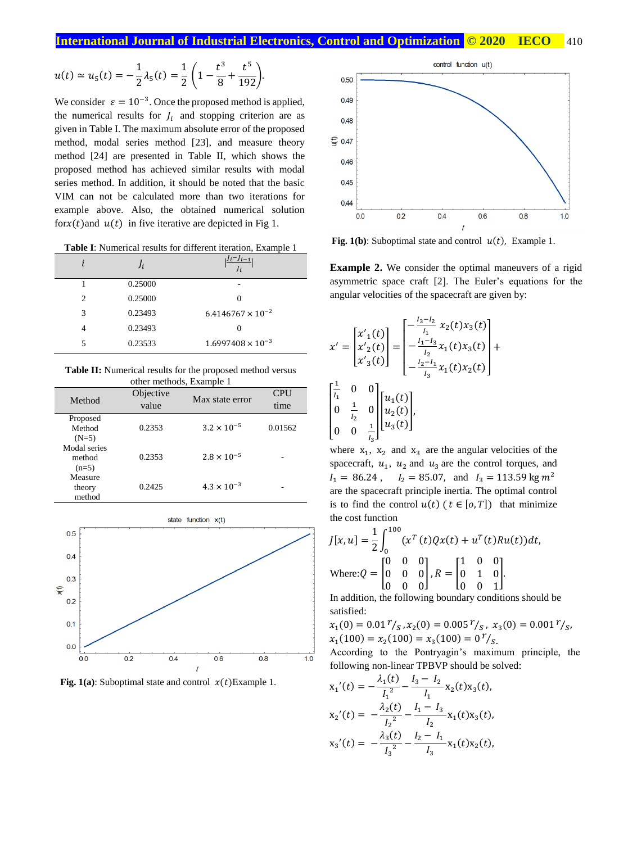$$
u(t) \simeq u_5(t) = -\frac{1}{2}\lambda_5(t) = \frac{1}{2}\left(1 - \frac{t^3}{8} + \frac{t^5}{192}\right).
$$

We consider  $\varepsilon = 10^{-3}$ . Once the proposed method is applied, the numerical results for  $J_i$  and stopping criterion are as given in Table I. The maximum absolute error of the proposed method, modal series method [23], and measure theory method [24] are presented in Table II, which shows the proposed method has achieved similar results with modal series method. In addition, it should be noted that the basic VIM can not be calculated more than two iterations for example above. Also, the obtained numerical solution for $x(t)$  and  $u(t)$  in five iterative are depicted in Fig 1.

**Table I**: Numerical results for different iteration, Example 1

|   | Ji      | $i^{-j}$ i – 1             |
|---|---------|----------------------------|
|   | 0.25000 |                            |
| 2 | 0.25000 | 0                          |
| 3 | 0.23493 | $6.4146767 \times 10^{-2}$ |
| 4 | 0.23493 |                            |
| 5 | 0.23533 | $1.6997408 \times 10^{-3}$ |
|   |         |                            |

**Table II:** Numerical results for the proposed method versus other methods, Example 1

| Method                            | Objective<br>value | Max state error      | <b>CPU</b><br>time |
|-----------------------------------|--------------------|----------------------|--------------------|
| Proposed<br>Method<br>$(N=5)$     | 0.2353             | $3.2 \times 10^{-5}$ | 0.01562            |
| Modal series<br>method<br>$(n=5)$ | 0.2353             | $2.8 \times 10^{-5}$ |                    |
| Measure<br>theory<br>method       | 0.2425             | $4.3 \times 10^{-3}$ |                    |



**Fig. 1(a)**: Suboptimal state and control  $x(t)$ Example 1.



**Fig. 1(b)**: Suboptimal state and control  $u(t)$ , Example 1.

**Example 2.** We consider the optimal maneuvers of a rigid asymmetric space craft [2]. The Euler's equations for the angular velocities of the spacecraft are given by:

$$
x' = \begin{bmatrix} x'_{1}(t) \\ x'_{2}(t) \\ x'_{3}(t) \end{bmatrix} = \begin{bmatrix} -\frac{l_{3}-l_{2}}{l_{1}} & x_{2}(t)x_{3}(t) \\ -\frac{l_{1}-l_{3}}{l_{2}} & x_{1}(t)x_{3}(t) \\ -\frac{l_{2}-l_{1}}{l_{3}} & x_{1}(t)x_{2}(t) \end{bmatrix} + \begin{bmatrix} \frac{1}{l_{1}} & 0 & 0 \\ 0 & \frac{1}{l_{2}} & 0 \\ 0 & 0 & \frac{1}{l_{3}} \end{bmatrix} \begin{bmatrix} u_{1}(t) \\ u_{2}(t) \\ u_{3}(t) \end{bmatrix},
$$

where  $x_1$ ,  $x_2$  and  $x_3$  are the angular velocities of the spacecraft,  $u_1$ ,  $u_2$  and  $u_3$  are the control torques, and  $I_1 = 86.24$ ,  $I_2 = 85.07$ , and  $I_3 = 113.59$  kg  $m^2$ are the spacecraft principle inertia. The optimal control is to find the control  $u(t)$  ( $t \in [0, T]$ ) that minimize the cost function

$$
J[x, u] = \frac{1}{2} \int_0^{100} (x^T(t)Qx(t) + u^T(t)Ru(t))dt,
$$
  
Where:  $Q = \begin{bmatrix} 0 & 0 & 0 \\ 0 & 0 & 0 \\ 0 & 0 & 0 \end{bmatrix}, R = \begin{bmatrix} 1 & 0 & 0 \\ 0 & 1 & 0 \\ 0 & 0 & 1 \end{bmatrix}.$ 

In addition, the following boundary conditions should be satisfied:

$$
x_1(0) = 0.01^{\gamma}/_S, x_2(0) = 0.005^{\gamma}/_S, x_3(0) = 0.001^{\gamma}/_S, x_1(100) = x_2(100) = x_3(100) = 0^{\gamma}/_S.
$$

According to the Pontryagin's maximum principle, the following non-linear TPBVP should be solved:

$$
x_1'(t) = -\frac{\lambda_1(t)}{I_1^2} - \frac{I_3 - I_2}{I_1} x_2(t) x_3(t),
$$
  
\n
$$
x_2'(t) = -\frac{\lambda_2(t)}{I_2^2} - \frac{I_1 - I_3}{I_2} x_1(t) x_3(t),
$$
  
\n
$$
x_3'(t) = -\frac{\lambda_3(t)}{I_3^2} - \frac{I_2 - I_1}{I_3} x_1(t) x_2(t),
$$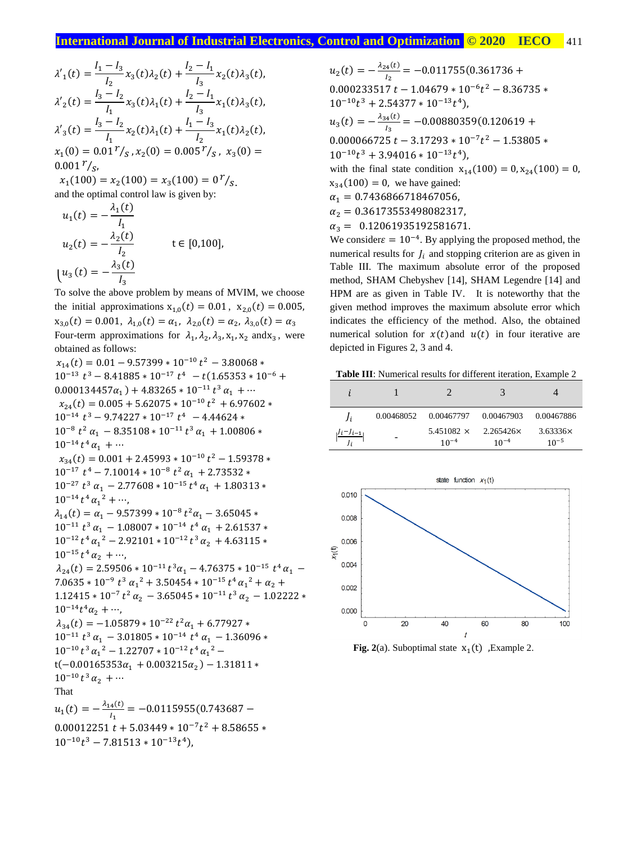$$
\lambda'_{1}(t) = \frac{I_{1} - I_{3}}{I_{2}} x_{3}(t) \lambda_{2}(t) + \frac{I_{2} - I_{1}}{I_{3}} x_{2}(t) \lambda_{3}(t),
$$
  
\n
$$
\lambda'_{2}(t) = \frac{I_{3} - I_{2}}{I_{1}} x_{3}(t) \lambda_{1}(t) + \frac{I_{2} - I_{1}}{I_{3}} x_{1}(t) \lambda_{3}(t),
$$
  
\n
$$
\lambda'_{3}(t) = \frac{I_{3} - I_{2}}{I_{1}} x_{2}(t) \lambda_{1}(t) + \frac{I_{1} - I_{3}}{I_{2}} x_{1}(t) \lambda_{2}(t),
$$
  
\n
$$
x_{1}(0) = 0.01 \, r_{S}, x_{2}(0) = 0.005 \, r_{S}, x_{3}(0) =
$$
  
\n0.001  $r_{S}$ ,

 $x_1(100) = x_2(100) = x_3(100) = 0$ <sup>r</sup>/<sub>S</sub>. and the optimal control law is given by:

$$
u_1(t) = -\frac{\lambda_1(t)}{I_1}
$$
  
\n
$$
u_2(t) = -\frac{\lambda_2(t)}{I_2}
$$
  $t \in [0,100],$   
\n
$$
u_3(t) = -\frac{\lambda_3(t)}{I_3}
$$

To solve the above problem by means of MVIM, we choose the initial approximations  $x_{1,0}(t) = 0.01$ ,  $x_{2,0}(t) = 0.005$ ,  $x_{3,0}(t) = 0.001, \ \lambda_{1,0}(t) = \alpha_1, \ \lambda_{2,0}(t) = \alpha_2, \ \lambda_{3,0}(t) = \alpha_3$ Four-term approximations for  $\lambda_1, \lambda_2, \lambda_3, x_1, x_2$  and  $x_3$ , were obtained as follows:

 $x_{14}(t) = 0.01 - 9.57399 * 10^{-10} t^2 - 3.80068 *$  $10^{-13} t^3 - 8.41885 * 10^{-17} t^4 - t(1.65353 * 10^{-6} +$  $0.000134457\alpha_1 + 4.83265 * 10^{-11} t^3 \alpha_1 + \cdots$  $x_{24}(t) = 0.005 + 5.62075 * 10^{-10} t^2 + 6.97602 *$  $10^{-14}$   $t^3 - 9.74227 \times 10^{-17}$   $t^4 - 4.44624 \times$  $10^{-8} t^2 \alpha_1 - 8.35108 * 10^{-11} t^3 \alpha_1 + 1.00806 *$  $10^{-14} t^4 \alpha_1 + \cdots$  $x_{34}(t) = 0.001 + 2.45993 * 10^{-10} t^2 - 1.59378 *$  $10^{-17} t^4 - 7.10014 * 10^{-8} t^2 \alpha_1 + 2.73532 *$  $10^{-27} t^3 \alpha_1 - 2.77608 * 10^{-15} t^4 \alpha_1 + 1.80313 *$  $10^{-14} t^4 \alpha_1^2 + \cdots$  $\lambda_{14}(t) = \alpha_1 - 9.57399 * 10^{-8} t^2 \alpha_1 - 3.65045 *$  $10^{-11} t^3 \alpha_1 - 1.08007 * 10^{-14} t^4 \alpha_1 + 2.61537 *$  $10^{-12} t^4 \alpha_1^2 - 2.92101 * 10^{-12} t^3 \alpha_2 + 4.63115 *$  $10^{-15} t^4 \alpha_2 + \cdots$  $\lambda_{24}(t) = 2.59506 * 10^{-11} t^3 \alpha_1 - 4.76375 * 10^{-15} t^4 \alpha_1$  $7.0635 * 10^{-9} t^3 \alpha_1^2 + 3.50454 * 10^{-15} t^4 \alpha_1^2 + \alpha_2 +$  $1.12415 * 10^{-7} t^2 \alpha_2 - 3.65045 * 10^{-11} t^3 \alpha_2 - 1.02222 *$  $10^{-14}t^4\alpha_2 + \cdots$  $\lambda_{34}(t) = -1.05879 * 10^{-22} t^2 \alpha_1 + 6.77927 *$  $10^{-11} t^3 \alpha_1 - 3.01805 * 10^{-14} t^4 \alpha_1 - 1.36096 *$  $10^{-10} t^3 \alpha_1^2 - 1.22707 * 10^{-12} t^4 \alpha_1^2$  – t(-0.00165353 $\alpha_1$  + 0.003215 $\alpha_2$ ) – 1.31811 \*  $10^{-10} t^3 \alpha_2 + \cdots$ That  $u_1(t) = -\frac{\lambda_{14}(t)}{l}$  $\frac{4(1)}{I_1}$  = -0.0115955(0.743687 –  $0.00012251 t + 5.03449 * 10^{-7} t^2 + 8.58655 *$  $10^{-10}t^3 - 7.81513 \times 10^{-13}t^4$ 

$$
u_2(t) = -\frac{\lambda_{24}(t)}{l_2} = -0.011755(0.361736 + 0.000233517 t - 1.04679 * 10^{-6}t^2 - 8.36735 *
$$
  
\n
$$
10^{-10}t^3 + 2.54377 * 10^{-13}t^4),
$$
  
\n
$$
u_3(t) = -\frac{\lambda_{34}(t)}{l_3} = -0.00880359(0.120619 + 0.000066725 t - 3.17293 * 10^{-7}t^2 - 1.53805 *
$$
  
\n
$$
10^{-10}t^3 + 3.94016 * 10^{-13}t^4),
$$
  
\nwith the final state condition  $x_{14}(100) = 0, x_{24}(100) = 0,$   
\n $x_{34}(100) = 0$ , we have gained:  
\n $\alpha_1 = 0.7436866718467056,$   
\n $\alpha_2 = 0.36173553498082317,$   
\n $\alpha_3 = 0.12061935192581671.$ 

We consider  $\epsilon = 10^{-4}$ . By applying the proposed method, the numerical results for  $J_i$  and stopping criterion are as given in Table III. The maximum absolute error of the proposed method, SHAM Chebyshev [14], SHAM Legendre [14] and HPM are as given in Table IV. It is noteworthy that the given method improves the maximum absolute error which indicates the efficiency of the method. Also, the obtained numerical solution for  $x(t)$  and  $u(t)$  in four iterative are depicted in Figures 2, 3 and 4.

**Table III**: Numerical results for different iteration, Example 2

|                   |            |                                | 3                      |                       |
|-------------------|------------|--------------------------------|------------------------|-----------------------|
| $\mathbf{I}$ i    | 0.00468052 | 0.00467797                     | 0.00467903             | 0.00467886            |
| $ l^{i-j}l^{-1} $ |            | 5.451082 $\times$<br>$10^{-4}$ | 2.265426×<br>$10^{-4}$ | 3.63336x<br>$10^{-5}$ |



**Fig. 2**(a). Suboptimal state  $x_1(t)$ , Example 2.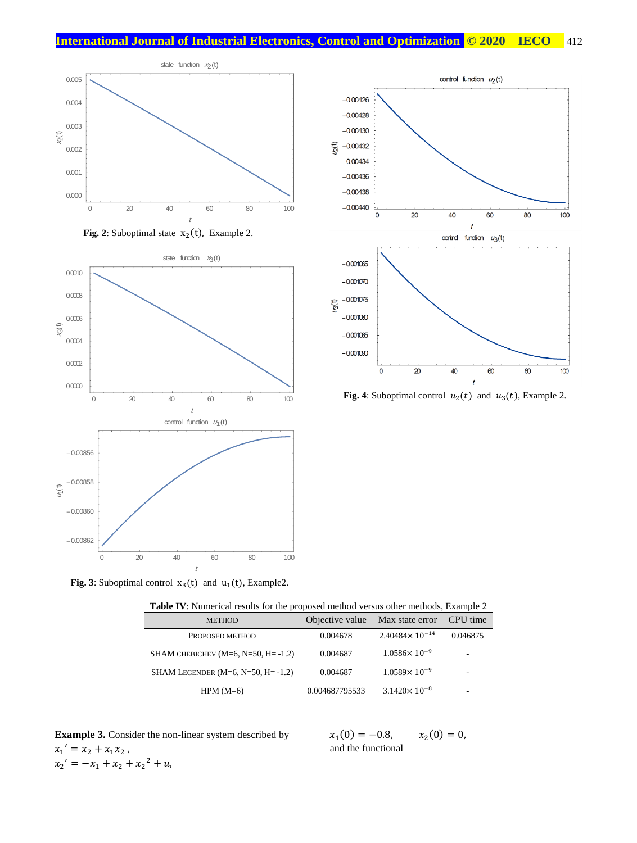







**Fig. 4**: Suboptimal control  $u_2(t)$  and  $u_3(t)$ , Example 2.

**Fig. 3**: Suboptimal control  $x_3(t)$  and  $u_1(t)$ , Example2.

| <b>METHOD</b>                                | Objective value | Max state error           | CPU time |
|----------------------------------------------|-----------------|---------------------------|----------|
| PROPOSED METHOD                              | 0.004678        | $2.40484 \times 10^{-14}$ | 0.046875 |
| SHAM CHEBICHEV ( $M=6$ , $N=50$ , $H=-1.2$ ) | 0.004687        | $1.0586 \times 10^{-9}$   | ۰        |
| SHAM LEGENDER $(M=6, N=50, H=-1.2)$          | 0.004687        | $1.0589 \times 10^{-9}$   | -        |
| $HPM(M=6)$                                   | 0.004687795533  | $3.1420 \times 10^{-8}$   | ۰        |

| <b>Table IV</b> : Numerical results for the proposed method versus other methods, Example 2 |  |  |  |
|---------------------------------------------------------------------------------------------|--|--|--|
|---------------------------------------------------------------------------------------------|--|--|--|

**Example 3.** Consider the non-linear system described by  $x_1' = x_2 + x_1 x_2$ ,  $x_2' = -x_1 + x_2 + x_2^2 + u,$ 

 $x_1(0) = -0.8, \quad x_2$  $x_2(0) = 0,$ and the functional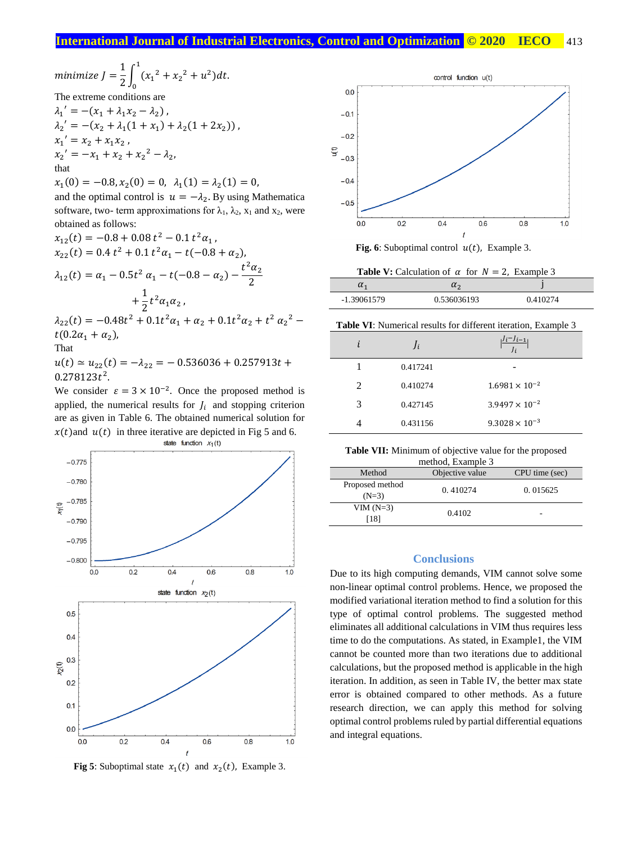$$
minimize J = \frac{1}{2} \int_0^1 (x_1^2 + x_2^2 + u^2) dt.
$$
  
The extreme conditions are

$$
\lambda_1' = -(x_1 + \lambda_1 x_2 - \lambda_2),
$$
  
\n
$$
\lambda_2' = -(x_2 + \lambda_1 (1 + x_1) + \lambda_2 (1 + 2x_2)),
$$
  
\n
$$
x_1' = x_2 + x_1 x_2,
$$
  
\n
$$
x_2' = -x_1 + x_2 + x_2^2 - \lambda_2,
$$
  
\nthat

 $x_1(0) = -0.8, x_2(0) = 0, \lambda_1(1) = \lambda_2(1) = 0,$ and the optimal control is  $u = -\lambda_2$ . By using Mathematica software, two- term approximations for  $\lambda_1$ ,  $\lambda_2$ ,  $x_1$  and  $x_2$ , were obtained as follows:

$$
x_{12}(t) = -0.8 + 0.08 t^2 - 0.1 t^2 \alpha_1,
$$
  
\n
$$
x_{22}(t) = 0.4 t^2 + 0.1 t^2 \alpha_1 - t(-0.8 + \alpha_2),
$$
  
\n
$$
\lambda_{12}(t) = \alpha_1 - 0.5t^2 \alpha_1 - t(-0.8 - \alpha_2) - \frac{t^2 \alpha_2}{2}
$$
  
\n
$$
+ \frac{1}{2} t^2 \alpha_1 \alpha_2,
$$
  
\n
$$
\lambda_{22}(t) = -0.48t^2 + 0.1t^2 \alpha_1 + \alpha_2 + 0.1t^2 \alpha_2 + t^2 \alpha_2^2 - t(0.2\alpha_1 + \alpha_2),
$$
  
\nThat  
\n
$$
u(t) \approx u_{22}(t) = -\lambda_{22} = -0.536036 + 0.257913t + 0.278123t^2.
$$

We consider  $\varepsilon = 3 \times 10^{-2}$ . Once the proposed method is applied, the numerical results for  $J_i$  and stopping criterion are as given in Table 6. The obtained numerical solution for  $x(t)$  and  $u(t)$  in three iterative are depicted in Fig 5 and 6.



**Fig 5**: Suboptimal state  $x_1(t)$  and  $x_2(t)$ , Example 3.



**Fig. 6**: Suboptimal control  $u(t)$ , Example 3.

| <b>Table V:</b> Calculation of $\alpha$ for $N = 2$ , Example 3 |  |
|-----------------------------------------------------------------|--|
|                                                                 |  |

| $\boldsymbol{\mathsf{u}}$ |             |          |
|---------------------------|-------------|----------|
| -1.39061579               | 0.536036193 | 0.410274 |

**Table VI**: Numerical results for different iteration, Example 3

| Ī.      | $\int_{i}$ | $J_i - J_{i-1}$         |
|---------|------------|-------------------------|
|         | 0.417241   |                         |
| $2^{1}$ | 0.410274   | $1.6981 \times 10^{-2}$ |
| 3       | 0.427145   | $3.9497 \times 10^{-2}$ |
|         | 0.431156   | $9.3028 \times 10^{-3}$ |

**Table VII:** Minimum of objective value for the proposed

| Method                     | Objective value | CPU time (sec) |
|----------------------------|-----------------|----------------|
| Proposed method<br>$(N=3)$ | 0.410274        | 0.015625       |
| $VIM(N=3)$<br>[18]         | 0.4102          | -              |

#### **Conclusions**

Due to its high computing demands, VIM cannot solve some non-linear optimal control problems. Hence, we proposed the modified variational iteration method to find a solution for this type of optimal control problems. The suggested method eliminates all additional calculations in VIM thus requires less time to do the computations. As stated, in Example1, the VIM cannot be counted more than two iterations due to additional calculations, but the proposed method is applicable in the high iteration. In addition, as seen in Table IV, the better max state error is obtained compared to other methods. As a future research direction, we can apply this method for solving optimal control problems ruled by partial differential equations and integral equations.